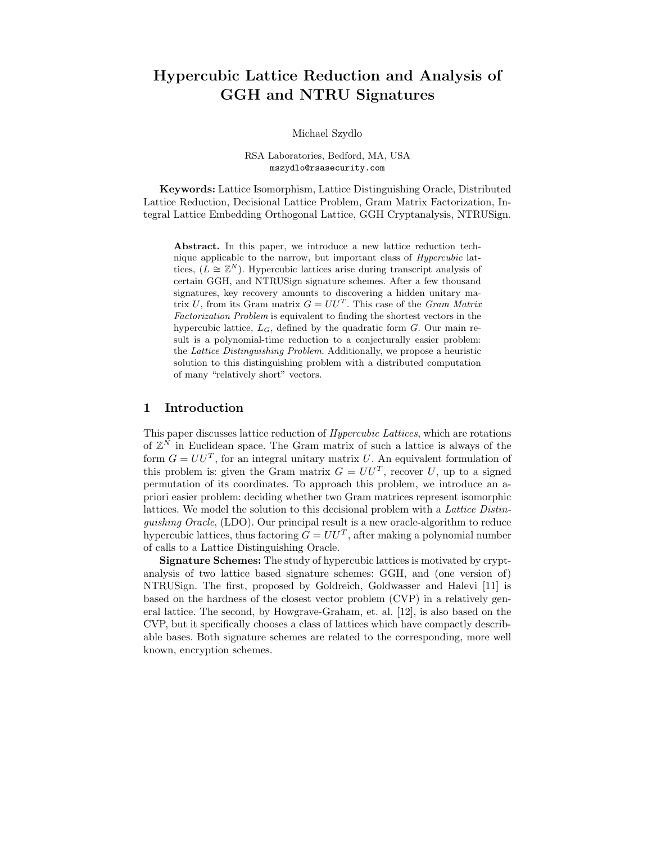# Hypercubic Lattice Reduction and Analysis of GGH and NTRU Signatures

Michael Szydlo

RSA Laboratories, Bedford, MA, USA mszydlo@rsasecurity.com

Keywords: Lattice Isomorphism, Lattice Distinguishing Oracle, Distributed Lattice Reduction, Decisional Lattice Problem, Gram Matrix Factorization, Integral Lattice Embedding Orthogonal Lattice, GGH Cryptanalysis, NTRUSign.

Abstract. In this paper, we introduce a new lattice reduction technique applicable to the narrow, but important class of Hypercubic lattices,  $(L \cong \mathbb{Z}^N)$ . Hypercubic lattices arise during transcript analysis of certain GGH, and NTRUSign signature schemes. After a few thousand signatures, key recovery amounts to discovering a hidden unitary matrix U, from its Gram matrix  $G = U U<sup>T</sup>$ . This case of the Gram Matrix Factorization Problem is equivalent to finding the shortest vectors in the hypercubic lattice,  $L_G$ , defined by the quadratic form  $G$ . Our main result is a polynomial-time reduction to a conjecturally easier problem: the Lattice Distinguishing Problem. Additionally, we propose a heuristic solution to this distinguishing problem with a distributed computation of many "relatively short" vectors.

### 1 Introduction

This paper discusses lattice reduction of Hypercubic Lattices, which are rotations of  $\mathbb{Z}^N$  in Euclidean space. The Gram matrix of such a lattice is always of the form  $G = U U^T$ , for an integral unitary matrix U. An equivalent formulation of this problem is: given the Gram matrix  $G = U U^T$ , recover U, up to a signed permutation of its coordinates. To approach this problem, we introduce an apriori easier problem: deciding whether two Gram matrices represent isomorphic lattices. We model the solution to this decisional problem with a Lattice Distinguishing Oracle, (LDO). Our principal result is a new oracle-algorithm to reduce hypercubic lattices, thus factoring  $G = U U^T$ , after making a polynomial number of calls to a Lattice Distinguishing Oracle.

Signature Schemes: The study of hypercubic lattices is motivated by cryptanalysis of two lattice based signature schemes: GGH, and (one version of) NTRUSign. The first, proposed by Goldreich, Goldwasser and Halevi [11] is based on the hardness of the closest vector problem (CVP) in a relatively general lattice. The second, by Howgrave-Graham, et. al. [12], is also based on the CVP, but it specifically chooses a class of lattices which have compactly describable bases. Both signature schemes are related to the corresponding, more well known, encryption schemes.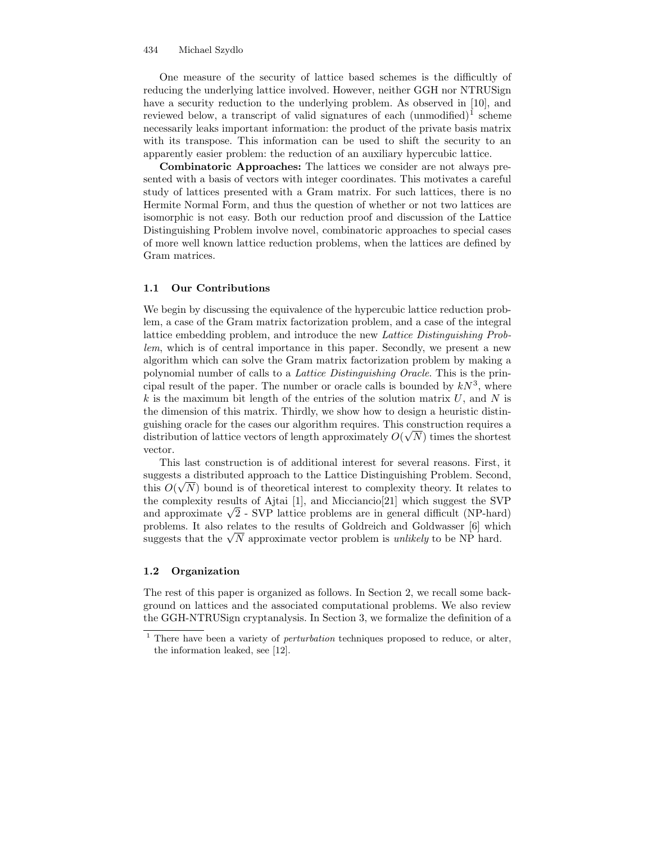One measure of the security of lattice based schemes is the difficultly of reducing the underlying lattice involved. However, neither GGH nor NTRUSign have a security reduction to the underlying problem. As observed in [10], and reviewed below, a transcript of valid signatures of each  $(unmodified)^1$  scheme necessarily leaks important information: the product of the private basis matrix with its transpose. This information can be used to shift the security to an apparently easier problem: the reduction of an auxiliary hypercubic lattice.

Combinatoric Approaches: The lattices we consider are not always presented with a basis of vectors with integer coordinates. This motivates a careful study of lattices presented with a Gram matrix. For such lattices, there is no Hermite Normal Form, and thus the question of whether or not two lattices are isomorphic is not easy. Both our reduction proof and discussion of the Lattice Distinguishing Problem involve novel, combinatoric approaches to special cases of more well known lattice reduction problems, when the lattices are defined by Gram matrices.

### 1.1 Our Contributions

We begin by discussing the equivalence of the hypercubic lattice reduction problem, a case of the Gram matrix factorization problem, and a case of the integral lattice embedding problem, and introduce the new Lattice Distinguishing Problem, which is of central importance in this paper. Secondly, we present a new algorithm which can solve the Gram matrix factorization problem by making a polynomial number of calls to a Lattice Distinguishing Oracle. This is the principal result of the paper. The number or oracle calls is bounded by  $kN^3$ , where  $k$  is the maximum bit length of the entries of the solution matrix  $U$ , and  $N$  is the dimension of this matrix. Thirdly, we show how to design a heuristic distinguishing oracle for the cases our algorithm requires. This construction requires a distribution of lattice vectors of length approximately  $O(\sqrt{N})$  times the shortest vector.

This last construction is of additional interest for several reasons. First, it suggests a distributed approach to the Lattice Distinguishing Problem. Second, this  $O(\sqrt{N})$  bound is of theoretical interest to complexity theory. It relates to the complexity results of Ajtai [1], and Micciancio[21] which suggest the SVP and approximate  $\sqrt{2}$  - SVP lattice problems are in general difficult (NP-hard) problems. It also relates to the results of Goldreich and Goldwasser [6] which suggests that the  $\sqrt{N}$  approximate vector problem is *unlikely* to be NP hard.

#### 1.2 Organization

The rest of this paper is organized as follows. In Section 2, we recall some background on lattices and the associated computational problems. We also review the GGH-NTRUSign cryptanalysis. In Section 3, we formalize the definition of a

 $1$  There have been a variety of *perturbation* techniques proposed to reduce, or alter, the information leaked, see [12].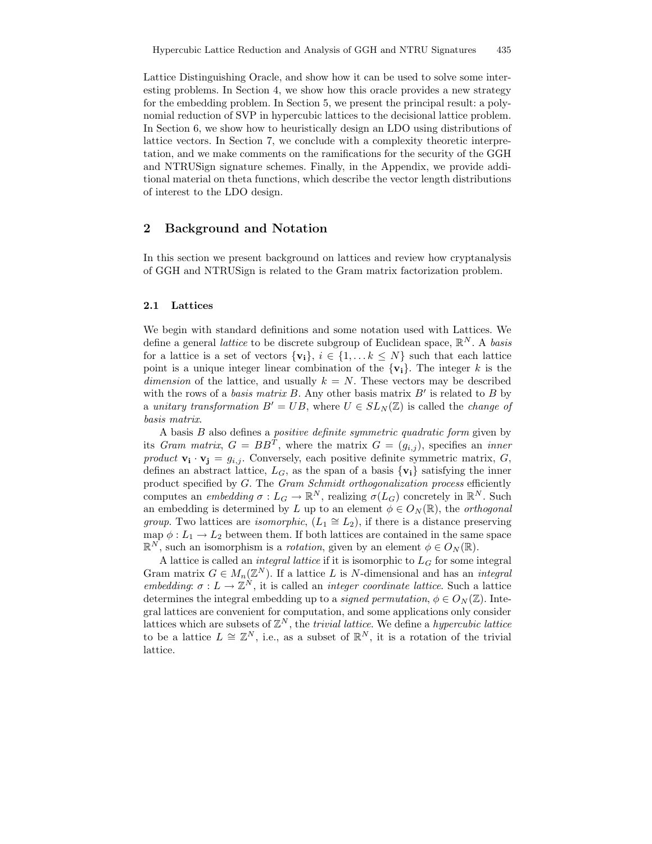Lattice Distinguishing Oracle, and show how it can be used to solve some interesting problems. In Section 4, we show how this oracle provides a new strategy for the embedding problem. In Section 5, we present the principal result: a polynomial reduction of SVP in hypercubic lattices to the decisional lattice problem. In Section 6, we show how to heuristically design an LDO using distributions of lattice vectors. In Section 7, we conclude with a complexity theoretic interpretation, and we make comments on the ramifications for the security of the GGH and NTRUSign signature schemes. Finally, in the Appendix, we provide additional material on theta functions, which describe the vector length distributions of interest to the LDO design.

## 2 Background and Notation

In this section we present background on lattices and review how cryptanalysis of GGH and NTRUSign is related to the Gram matrix factorization problem.

#### 2.1 Lattices

We begin with standard definitions and some notation used with Lattices. We define a general *lattice* to be discrete subgroup of Euclidean space,  $\mathbb{R}^N$ . A *basis* for a lattice is a set of vectors  $\{v_i\}, i \in \{1, \ldots k \leq N\}$  such that each lattice point is a unique integer linear combination of the  $\{v_i\}$ . The integer k is the dimension of the lattice, and usually  $k = N$ . These vectors may be described with the rows of a *basis matrix B*. Any other basis matrix  $B'$  is related to B by a unitary transformation  $B' = UB$ , where  $U \in SL_N(\mathbb{Z})$  is called the *change of* basis matrix.

A basis B also defines a positive definite symmetric quadratic form given by its Gram matrix,  $G = BB^T$ , where the matrix  $G = (g_{i,j})$ , specifies an inner product  $\mathbf{v}_i \cdot \mathbf{v}_j = g_{i,j}$ . Conversely, each positive definite symmetric matrix, G, defines an abstract lattice,  $L_G$ , as the span of a basis  $\{v_i\}$  satisfying the inner product specified by G. The Gram Schmidt orthogonalization process efficiently computes an *embedding*  $\sigma: L_G \to \mathbb{R}^N$ , realizing  $\sigma(L_G)$  concretely in  $\mathbb{R}^N$ . Such an embedding is determined by L up to an element  $\phi \in O_N(\mathbb{R})$ , the *orthogonal group*. Two lattices are *isomorphic*,  $(L_1 \cong L_2)$ , if there is a distance preserving map  $\phi: L_1 \to L_2$  between them. If both lattices are contained in the same space  $\mathbb{R}^N$ , such an isomorphism is a *rotation*, given by an element  $\phi \in O_N(\mathbb{R})$ .

A lattice is called an *integral lattice* if it is isomorphic to  $L_G$  for some integral Gram matrix  $G \in M_n(\mathbb{Z}^N)$ . If a lattice L is N-dimensional and has an *integral* embedding:  $\sigma: L \to \mathbb{Z}^N$ , it is called an integer coordinate lattice. Such a lattice determines the integral embedding up to a *signed permutation*,  $\phi \in O_N(\mathbb{Z})$ . Integral lattices are convenient for computation, and some applications only consider lattices which are subsets of  $\mathbb{Z}^N$ , the *trivial lattice*. We define a *hypercubic lattice* to be a lattice  $L \cong \mathbb{Z}^N$ , i.e., as a subset of  $\mathbb{R}^N$ , it is a rotation of the trivial lattice.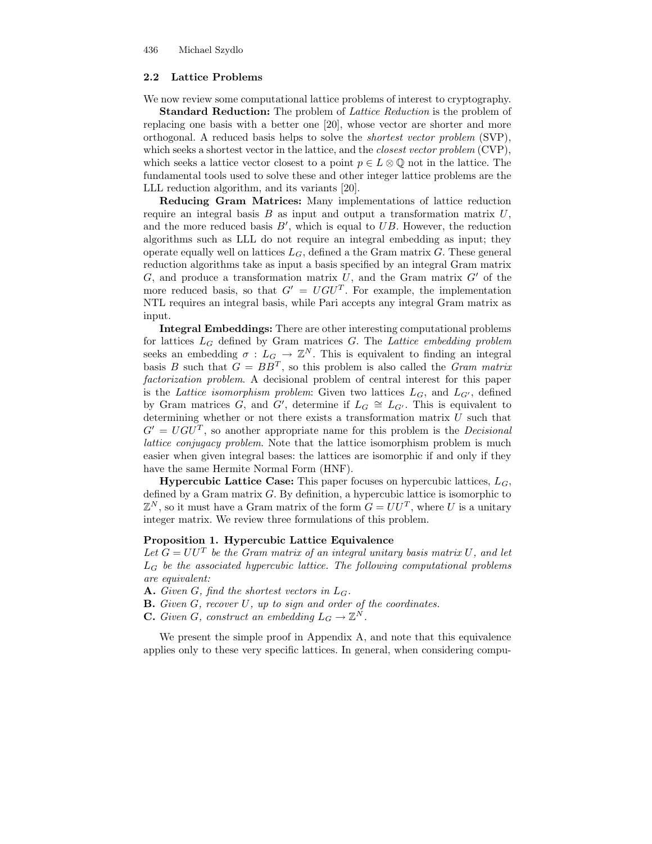#### 2.2 Lattice Problems

We now review some computational lattice problems of interest to cryptography.

Standard Reduction: The problem of Lattice Reduction is the problem of replacing one basis with a better one [20], whose vector are shorter and more orthogonal. A reduced basis helps to solve the shortest vector problem (SVP), which seeks a shortest vector in the lattice, and the *closest vector problem* (CVP), which seeks a lattice vector closest to a point  $p \in L \otimes \mathbb{Q}$  not in the lattice. The fundamental tools used to solve these and other integer lattice problems are the LLL reduction algorithm, and its variants [20].

Reducing Gram Matrices: Many implementations of lattice reduction require an integral basis  $B$  as input and output a transformation matrix  $U$ , and the more reduced basis  $B'$ , which is equal to  $UB$ . However, the reduction algorithms such as LLL do not require an integral embedding as input; they operate equally well on lattices  $L_G$ , defined a the Gram matrix  $G$ . These general reduction algorithms take as input a basis specified by an integral Gram matrix G, and produce a transformation matrix  $U$ , and the Gram matrix  $G'$  of the more reduced basis, so that  $G' = UGU^T$ . For example, the implementation NTL requires an integral basis, while Pari accepts any integral Gram matrix as input.

Integral Embeddings: There are other interesting computational problems for lattices  $L_G$  defined by Gram matrices  $G$ . The Lattice embedding problem seeks an embedding  $\sigma: L_G \to \mathbb{Z}^N$ . This is equivalent to finding an integral basis B such that  $G = BB^T$ , so this problem is also called the Gram matrix factorization problem. A decisional problem of central interest for this paper is the Lattice isomorphism problem: Given two lattices  $L_G$ , and  $L_{G'}$ , defined by Gram matrices G, and G', determine if  $L_G \cong L_{G'}$ . This is equivalent to determining whether or not there exists a transformation matrix  $U$  such that  $G' = UGU^{T}$ , so another appropriate name for this problem is the *Decisional* lattice conjugacy problem. Note that the lattice isomorphism problem is much easier when given integral bases: the lattices are isomorphic if and only if they have the same Hermite Normal Form (HNF).

**Hypercubic Lattice Case:** This paper focuses on hypercubic lattices,  $L_G$ , defined by a Gram matrix G. By definition, a hypercubic lattice is isomorphic to  $\mathbb{Z}^N$ , so it must have a Gram matrix of the form  $G = U U^T$ , where U is a unitary integer matrix. We review three formulations of this problem.

# Proposition 1. Hypercubic Lattice Equivalence

Let  $G = U U^T$  be the Gram matrix of an integral unitary basis matrix U, and let  $L_G$  be the associated hypercubic lattice. The following computational problems are equivalent:

**A.** Given G, find the shortest vectors in  $L_G$ .

**B.** Given  $G$ , recover  $U$ , up to sign and order of the coordinates.

**C.** Given G, construct an embedding  $L_G \to \mathbb{Z}^N$ .

We present the simple proof in Appendix A, and note that this equivalence applies only to these very specific lattices. In general, when considering compu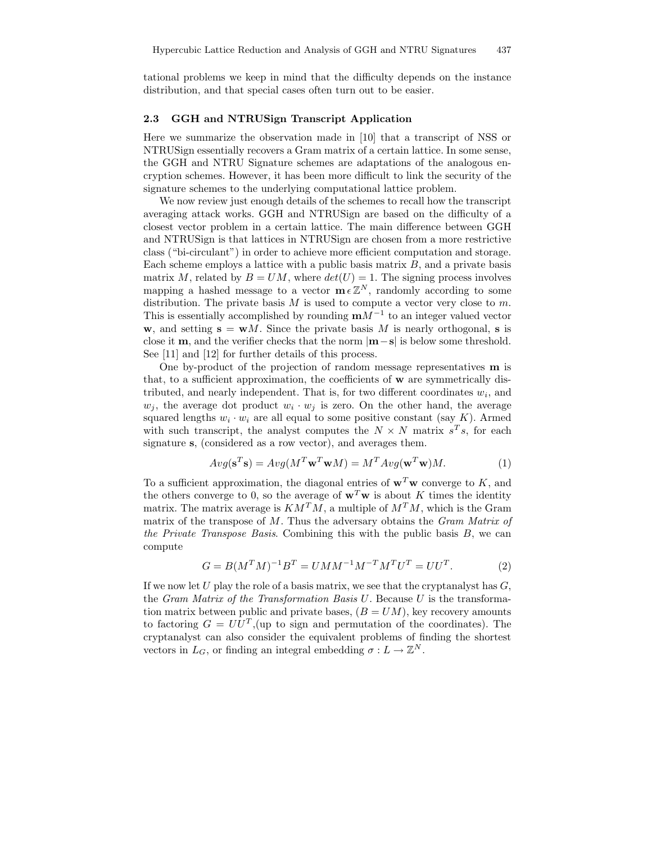tational problems we keep in mind that the difficulty depends on the instance distribution, and that special cases often turn out to be easier.

### 2.3 GGH and NTRUSign Transcript Application

Here we summarize the observation made in [10] that a transcript of NSS or NTRUSign essentially recovers a Gram matrix of a certain lattice. In some sense, the GGH and NTRU Signature schemes are adaptations of the analogous encryption schemes. However, it has been more difficult to link the security of the signature schemes to the underlying computational lattice problem.

We now review just enough details of the schemes to recall how the transcript averaging attack works. GGH and NTRUSign are based on the difficulty of a closest vector problem in a certain lattice. The main difference between GGH and NTRUSign is that lattices in NTRUSign are chosen from a more restrictive class ("bi-circulant") in order to achieve more efficient computation and storage. Each scheme employs a lattice with a public basis matrix  $B$ , and a private basis matrix M, related by  $B = UM$ , where  $det(U) = 1$ . The signing process involves mapping a hashed message to a vector  $\mathbf{m} \in \mathbb{Z}^N$ , randomly according to some distribution. The private basis  $M$  is used to compute a vector very close to  $m$ . This is essentially accomplished by rounding  $\mathbf{m}M^{-1}$  to an integer valued vector w, and setting  $s = wM$ . Since the private basis M is nearly orthogonal, s is close it **m**, and the verifier checks that the norm  $|\mathbf{m}-\mathbf{s}|$  is below some threshold. See [11] and [12] for further details of this process.

One by-product of the projection of random message representatives m is that, to a sufficient approximation, the coefficients of w are symmetrically distributed, and nearly independent. That is, for two different coordinates  $w_i$ , and  $w_j$ , the average dot product  $w_i \cdot w_j$  is zero. On the other hand, the average squared lengths  $w_i \cdot w_i$  are all equal to some positive constant (say K). Armed with such transcript, the analyst computes the  $N \times N$  matrix  $s^T s$ , for each signature s, (considered as a row vector), and averages them.

$$
Avg(\mathbf{s}^T\mathbf{s}) = Avg(M^T\mathbf{w}^T\mathbf{w}M) = M^TAvg(\mathbf{w}^T\mathbf{w})M.
$$
 (1)

To a sufficient approximation, the diagonal entries of  $w<sup>T</sup>w$  converge to K, and the others converge to 0, so the average of  $\mathbf{w}^T\mathbf{w}$  is about K times the identity matrix. The matrix average is  $KM^TM$ , a multiple of  $M^TM$ , which is the Gram matrix of the transpose of  $M$ . Thus the adversary obtains the *Gram Matrix of* the Private Transpose Basis. Combining this with the public basis  $B$ , we can compute

$$
G = B(M^T M)^{-1} B^T = U M M^{-1} M^{-T} M^T U^T = U U^T.
$$
 (2)

If we now let  $U$  play the role of a basis matrix, we see that the cryptanalyst has  $G$ , the Gram Matrix of the Transformation Basis U. Because U is the transformation matrix between public and private bases,  $(B = UM)$ , key recovery amounts to factoring  $G = U U^T$ , (up to sign and permutation of the coordinates). The cryptanalyst can also consider the equivalent problems of finding the shortest vectors in  $L_G$ , or finding an integral embedding  $\sigma: L \to \mathbb{Z}^N$ .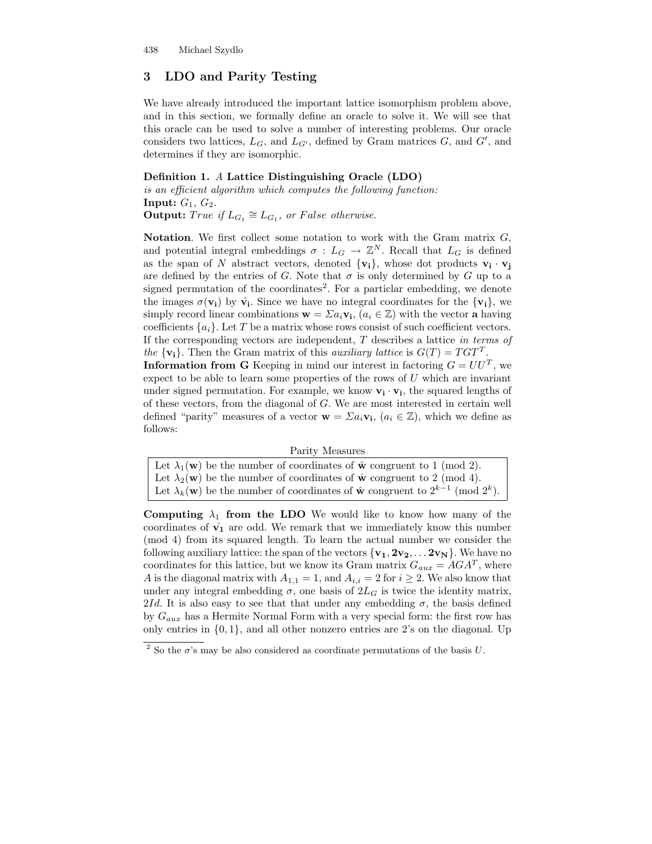# 3 LDO and Parity Testing

We have already introduced the important lattice isomorphism problem above, and in this section, we formally define an oracle to solve it. We will see that this oracle can be used to solve a number of interesting problems. Our oracle considers two lattices,  $L_G$ , and  $L_{G'}$ , defined by Gram matrices G, and G', and determines if they are isomorphic.

### Definition 1. A Lattice Distinguishing Oracle (LDO)

is an efficient algorithm which computes the following function: **Input:**  $G_1$ ,  $G_2$ .

**Output:** True if  $L_{G_1} \cong L_{G_1}$ , or False otherwise.

Notation. We first collect some notation to work with the Gram matrix  $G$ , and potential integral embeddings  $\sigma: L_G \to \mathbb{Z}^N$ . Recall that  $L_G$  is defined as the span of N abstract vectors, denoted  $\{v_i\}$ , whose dot products  $v_i \cdot v_j$ are defined by the entries of G. Note that  $\sigma$  is only determined by G up to a signed permutation of the coordinates<sup>2</sup>. For a particlar embedding, we denote the images  $\sigma(\mathbf{v_i})$  by  $\hat{\mathbf{v_i}}$ . Since we have no integral coordinates for the  ${\mathbf{v_i}}$ , we simply record linear combinations  $\mathbf{w} = \sum a_i \mathbf{v}_i$ ,  $(a_i \in \mathbb{Z})$  with the vector a having coefficients  $\{a_i\}$ . Let T be a matrix whose rows consist of such coefficient vectors. If the corresponding vectors are independent, T describes a lattice in terms of the  $\{v_i\}$ . Then the Gram matrix of this *auxiliary lattice* is  $G(T) = TGT^T$ .

**Information from G** Keeping in mind our interest in factoring  $G = U U^T$ , we expect to be able to learn some properties of the rows of  $U$  which are invariant under signed permutation. For example, we know  $\mathbf{v}_i \cdot \mathbf{v}_i$ , the squared lengths of of these vectors, from the diagonal of G. We are most interested in certain well defined "parity" measures of a vector  $\mathbf{w} = \sum a_i \mathbf{v_i}$ ,  $(a_i \in \mathbb{Z})$ , which we define as follows:

Parity Measures

| Let $\lambda_1(\mathbf{w})$ be the number of coordinates of $\hat{\mathbf{w}}$ congruent to 1 (mod 2).              |
|---------------------------------------------------------------------------------------------------------------------|
| Let $\lambda_2(\mathbf{w})$ be the number of coordinates of $\hat{\mathbf{w}}$ congruent to 2 (mod 4).              |
| Let $\lambda_k(\mathbf{w})$ be the number of coordinates of $\hat{\mathbf{w}}$ congruent to $2^{k-1}$ (mod $2^k$ ). |

Computing  $\lambda_1$  from the LDO We would like to know how many of the coordinates of  $\hat{\mathbf{v}_1}$  are odd. We remark that we immediately know this number (mod 4) from its squared length. To learn the actual number we consider the following auxiliary lattice: the span of the vectors  $\{v_1, 2v_2, \ldots, 2v_N\}$ . We have no coordinates for this lattice, but we know its Gram matrix  $G_{aux} = AGA^T$ , where A is the diagonal matrix with  $A_{1,1} = 1$ , and  $A_{i,i} = 2$  for  $i \geq 2$ . We also know that under any integral embedding  $\sigma$ , one basis of  $2L_G$  is twice the identity matrix, 2Id. It is also easy to see that that under any embedding  $\sigma$ , the basis defined by  $G_{aux}$  has a Hermite Normal Form with a very special form: the first row has only entries in {0, 1}, and all other nonzero entries are 2's on the diagonal. Up

<sup>&</sup>lt;sup>2</sup> So the  $\sigma$ 's may be also considered as coordinate permutations of the basis U.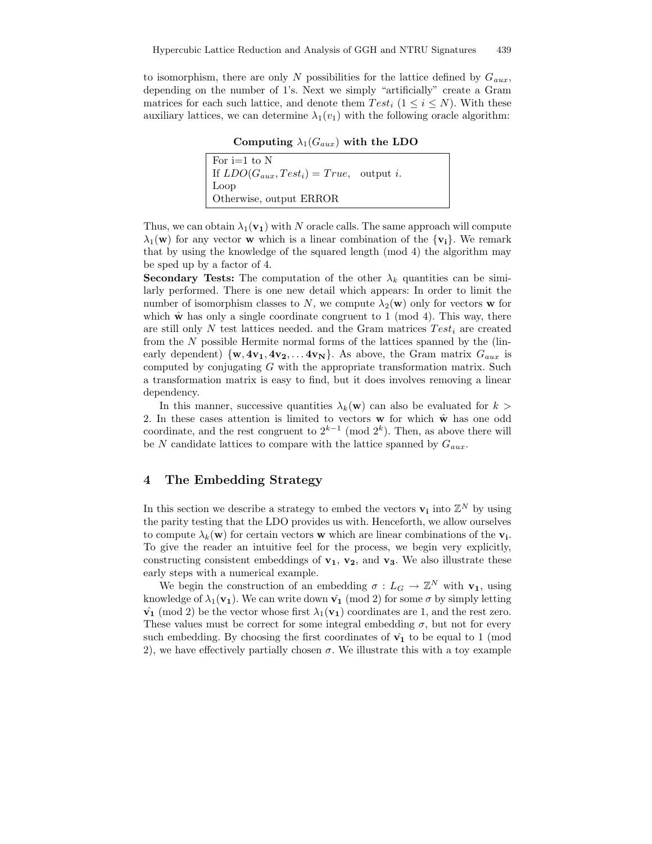to isomorphism, there are only N possibilities for the lattice defined by  $G_{aux}$ , depending on the number of 1's. Next we simply "artificially" create a Gram matrices for each such lattice, and denote them  $Test_i$  ( $1 \le i \le N$ ). With these auxiliary lattices, we can determine  $\lambda_1(v_1)$  with the following oracle algorithm:

Computing  $\lambda_1(G_{aux})$  with the LDO

| For $i=1$ to N                                       |  |
|------------------------------------------------------|--|
| If $LDO(G_{aux}, Test_i) = True$ , output <i>i</i> . |  |
| Loop                                                 |  |
| Otherwise, output ERROR                              |  |

Thus, we can obtain  $\lambda_1(\mathbf{v}_1)$  with N oracle calls. The same approach will compute  $\lambda_1(\mathbf{w})$  for any vector **w** which is a linear combination of the  $\{v_i\}$ . We remark that by using the knowledge of the squared length (mod 4) the algorithm may be sped up by a factor of 4.

**Secondary Tests:** The computation of the other  $\lambda_k$  quantities can be similarly performed. There is one new detail which appears: In order to limit the number of isomorphism classes to N, we compute  $\lambda_2(\mathbf{w})$  only for vectors w for which  $\hat{\mathbf{w}}$  has only a single coordinate congruent to 1 (mod 4). This way, there are still only  $N$  test lattices needed. and the Gram matrices  $Test_i$  are created from the N possible Hermite normal forms of the lattices spanned by the (linearly dependent)  $\{w, 4v_1, 4v_2, \ldots 4v_N\}$ . As above, the Gram matrix  $G_{aux}$  is computed by conjugating  $G$  with the appropriate transformation matrix. Such a transformation matrix is easy to find, but it does involves removing a linear dependency.

In this manner, successive quantities  $\lambda_k(\mathbf{w})$  can also be evaluated for  $k >$ 2. In these cases attention is limited to vectors  $\bf{w}$  for which  $\hat{\bf{w}}$  has one odd coordinate, and the rest congruent to  $2^{k-1}$  (mod  $2^k$ ). Then, as above there will be N candidate lattices to compare with the lattice spanned by  $G_{aux}$ .

### 4 The Embedding Strategy

In this section we describe a strategy to embed the vectors  $\mathbf{v}_i$  into  $\mathbb{Z}^N$  by using the parity testing that the LDO provides us with. Henceforth, we allow ourselves to compute  $\lambda_k(\mathbf{w})$  for certain vectors **w** which are linear combinations of the **v**<sub>i</sub>. To give the reader an intuitive feel for the process, we begin very explicitly, constructing consistent embeddings of  $v_1$ ,  $v_2$ , and  $v_3$ . We also illustrate these early steps with a numerical example.

We begin the construction of an embedding  $\sigma: L_G \to \mathbb{Z}^N$  with  $\mathbf{v}_1$ , using knowledge of  $\lambda_1(\mathbf{v}_1)$ . We can write down  $\hat{\mathbf{v}_1}$  (mod 2) for some  $\sigma$  by simply letting  $\hat{\mathbf{v}_1}$  (mod 2) be the vector whose first  $\lambda_1(\mathbf{v}_1)$  coordinates are 1, and the rest zero. These values must be correct for some integral embedding  $\sigma$ , but not for every such embedding. By choosing the first coordinates of  $\hat{v_1}$  to be equal to 1 (mod 2), we have effectively partially chosen  $\sigma$ . We illustrate this with a toy example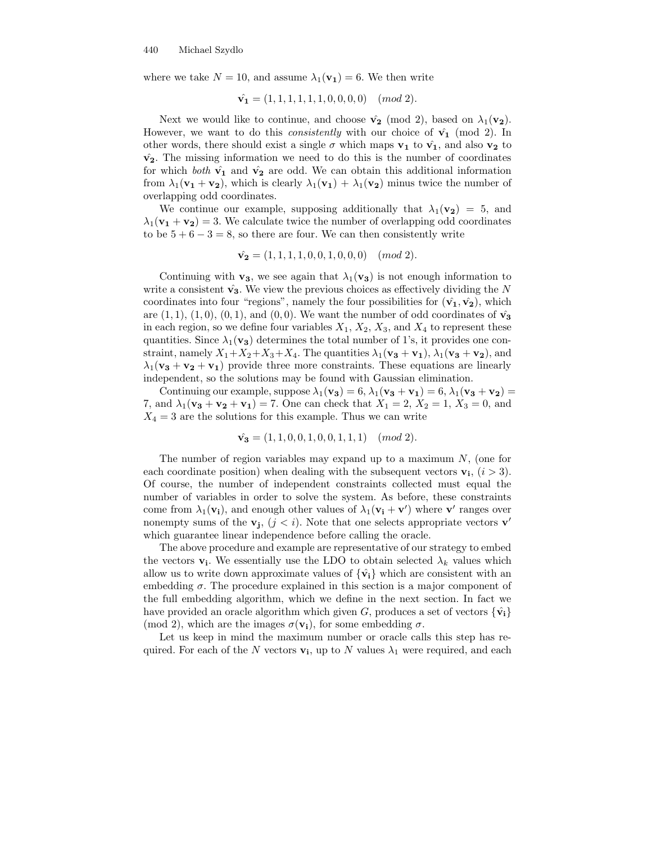where we take  $N = 10$ , and assume  $\lambda_1(\mathbf{v}_1) = 6$ . We then write

$$
\hat{\mathbf{v}_1} = (1, 1, 1, 1, 1, 1, 0, 0, 0, 0) \pmod{2}.
$$

Next we would like to continue, and choose  $\hat{v}_2$  (mod 2), based on  $\lambda_1(\mathbf{v}_2)$ . However, we want to do this *consistently* with our choice of  $\hat{v_1}$  (mod 2). In other words, there should exist a single  $\sigma$  which maps  $v_1$  to  $\hat{v_1}$ , and also  $v_2$  to  $\hat{\mathbf{v}_2}$ . The missing information we need to do this is the number of coordinates for which both  $\hat{v_1}$  and  $\hat{v_2}$  are odd. We can obtain this additional information from  $\lambda_1(\mathbf{v_1} + \mathbf{v_2})$ , which is clearly  $\lambda_1(\mathbf{v_1}) + \lambda_1(\mathbf{v_2})$  minus twice the number of overlapping odd coordinates.

We continue our example, supposing additionally that  $\lambda_1(\mathbf{v}_2) = 5$ , and  $\lambda_1(\mathbf{v_1} + \mathbf{v_2}) = 3$ . We calculate twice the number of overlapping odd coordinates to be  $5 + 6 - 3 = 8$ , so there are four. We can then consistently write

$$
\hat{\mathbf{v}_2} = (1, 1, 1, 1, 0, 0, 1, 0, 0, 0) \pmod{2}.
$$

Continuing with  $\mathbf{v}_3$ , we see again that  $\lambda_1(\mathbf{v}_3)$  is not enough information to write a consistent  $\hat{\mathbf{v}}_3$ . We view the previous choices as effectively dividing the N coordinates into four "regions", namely the four possibilities for  $(\hat{\mathbf{v}_1}, \hat{\mathbf{v}_2})$ , which are  $(1, 1), (1, 0), (0, 1),$  and  $(0, 0)$ . We want the number of odd coordinates of  $\hat{\mathbf{v}}_3$ in each region, so we define four variables  $X_1, X_2, X_3$ , and  $X_4$  to represent these quantities. Since  $\lambda_1(\mathbf{v}_3)$  determines the total number of 1's, it provides one constraint, namely  $X_1+X_2+X_3+X_4$ . The quantities  $\lambda_1(\mathbf{v}_3+\mathbf{v}_1), \lambda_1(\mathbf{v}_3+\mathbf{v}_2)$ , and  $\lambda_1(\mathbf{v_3} + \mathbf{v_2} + \mathbf{v_1})$  provide three more constraints. These equations are linearly independent, so the solutions may be found with Gaussian elimination.

Continuing our example, suppose  $\lambda_1(\mathbf{v}_3) = 6$ ,  $\lambda_1(\mathbf{v}_3 + \mathbf{v}_1) = 6$ ,  $\lambda_1(\mathbf{v}_3 + \mathbf{v}_2) =$ 7, and  $\lambda_1$ (**v**<sub>3</sub> + **v**<sub>2</sub> + **v**<sub>1</sub>) = 7. One can check that  $X_1 = 2$ ,  $X_2 = 1$ ,  $X_3 = 0$ , and  $X_4 = 3$  are the solutions for this example. Thus we can write

$$
\hat{\mathbf{v}_3} = (1, 1, 0, 0, 1, 0, 0, 1, 1, 1) \pmod{2}.
$$

The number of region variables may expand up to a maximum  $N$ , (one for each coordinate position) when dealing with the subsequent vectors  $\mathbf{v_i}$ ,  $(i > 3)$ . Of course, the number of independent constraints collected must equal the number of variables in order to solve the system. As before, these constraints come from  $\lambda_1(\mathbf{v_i})$ , and enough other values of  $\lambda_1(\mathbf{v_i} + \mathbf{v'})$  where  $\mathbf{v'}$  ranges over nonempty sums of the  $\mathbf{v}_j$ ,  $(j < i)$ . Note that one selects appropriate vectors  $\mathbf{v}'$ which guarantee linear independence before calling the oracle.

The above procedure and example are representative of our strategy to embed the vectors  $\mathbf{v}_i$ . We essentially use the LDO to obtain selected  $\lambda_k$  values which allow us to write down approximate values of  $\{\hat{\mathbf{v}}_i\}$  which are consistent with an embedding  $\sigma$ . The procedure explained in this section is a major component of the full embedding algorithm, which we define in the next section. In fact we have provided an oracle algorithm which given G, produces a set of vectors  $\{\hat{\mathbf{v_i}}\}$ (mod 2), which are the images  $\sigma(\mathbf{v_i})$ , for some embedding  $\sigma$ .

Let us keep in mind the maximum number or oracle calls this step has required. For each of the N vectors  $\mathbf{v_i}$ , up to N values  $\lambda_1$  were required, and each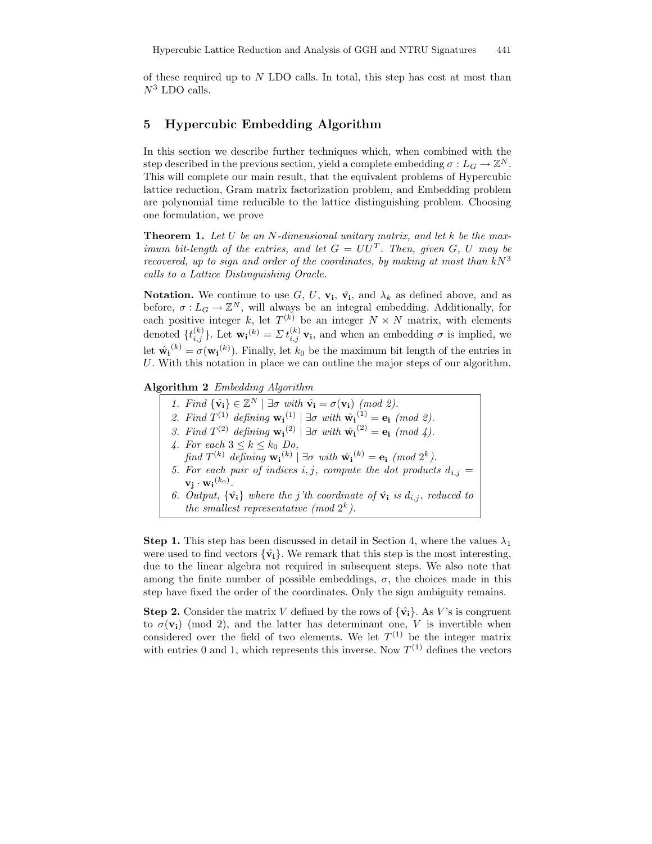of these required up to N LDO calls. In total, this step has cost at most than  $N^3$  LDO calls.

# 5 Hypercubic Embedding Algorithm

In this section we describe further techniques which, when combined with the step described in the previous section, yield a complete embedding  $\sigma: L_G \to \mathbb{Z}^N$ . This will complete our main result, that the equivalent problems of Hypercubic lattice reduction, Gram matrix factorization problem, and Embedding problem are polynomial time reducible to the lattice distinguishing problem. Choosing one formulation, we prove

**Theorem 1.** Let U be an N-dimensional unitary matrix, and let k be the maximum bit-length of the entries, and let  $G = U U^T$ . Then, given G, U may be recovered, up to sign and order of the coordinates, by making at most than  $kN<sup>3</sup>$ calls to a Lattice Distinguishing Oracle.

**Notation.** We continue to use G, U,  $\mathbf{v_i}$ ,  $\hat{\mathbf{v_i}}$ , and  $\lambda_k$  as defined above, and as before,  $\sigma: L_G \to \mathbb{Z}^N$ , will always be an integral embedding. Additionally, for each positive integer  $k$ , let  $T^{(k)}$  be an integer  $N \times N$  matrix, with elements denoted  $\{t_{i,j}^{(k)}\}$ . Let  $\mathbf{w_i}^{(k)} = \sum t_{i,j}^{(k)} \mathbf{v_i}$ , and when an embedding  $\sigma$  is implied, we let  $\hat{\mathbf{w}}_i^{(k)} = \sigma(\mathbf{w}_i^{(k)})$ . Finally, let  $k_0$  be the maximum bit length of the entries in U. With this notation in place we can outline the major steps of our algorithm.

Algorithm 2 Embedding Algorithm

1. Find  $\{\hat{\mathbf{v_i}}\} \in \mathbb{Z}^N \mid \exists \sigma \text{ with } \hat{\mathbf{v_i}} = \sigma(\mathbf{v_i}) \pmod{2}.$ 2. Find  $T^{(1)}$  defining  $\mathbf{w_i}^{(1)} \mid \exists \sigma \text{ with } \hat{\mathbf{w_i}}^{(1)} = \mathbf{e_i} \pmod{2}.$ 3. Find  $T^{(2)}$  defining  $\mathbf{w_i}^{(2)} \mid \exists \sigma \text{ with } \hat{\mathbf{w_i}}^{(2)} = \mathbf{e_i} \pmod{4}$ . 4. For each  $3 \leq k \leq k_0$  Do, find  $T^{(k)}$  defining  $\mathbf{w_i}^{(k)} \mid \exists \sigma \text{ with } \hat{\mathbf{w_i}}^{(k)} = \mathbf{e_i} \pmod{2^k}$ . 5. For each pair of indices i, j, compute the dot products  $d_{i,j} =$  $\mathbf{v_j}\cdot\mathbf{w_i}^{(k_0)}$ . 6. Output,  $\{\hat{\mathbf{v_i}}\}$  where the j'th coordinate of  $\hat{\mathbf{v_i}}$  is  $d_{i,j}$ , reduced to the smallest representative (mod  $2^k$ ).

**Step 1.** This step has been discussed in detail in Section 4, where the values  $\lambda_1$ were used to find vectors  $\{\hat{\mathbf{v}}_i\}$ . We remark that this step is the most interesting, due to the linear algebra not required in subsequent steps. We also note that among the finite number of possible embeddings,  $\sigma$ , the choices made in this step have fixed the order of the coordinates. Only the sign ambiguity remains.

**Step 2.** Consider the matrix V defined by the rows of  $\{\hat{\mathbf{v}}_i\}$ . As V's is congruent to  $\sigma(\mathbf{v_i})$  (mod 2), and the latter has determinant one, V is invertible when considered over the field of two elements. We let  $T^{(1)}$  be the integer matrix with entries 0 and 1, which represents this inverse. Now  $T^{(1)}$  defines the vectors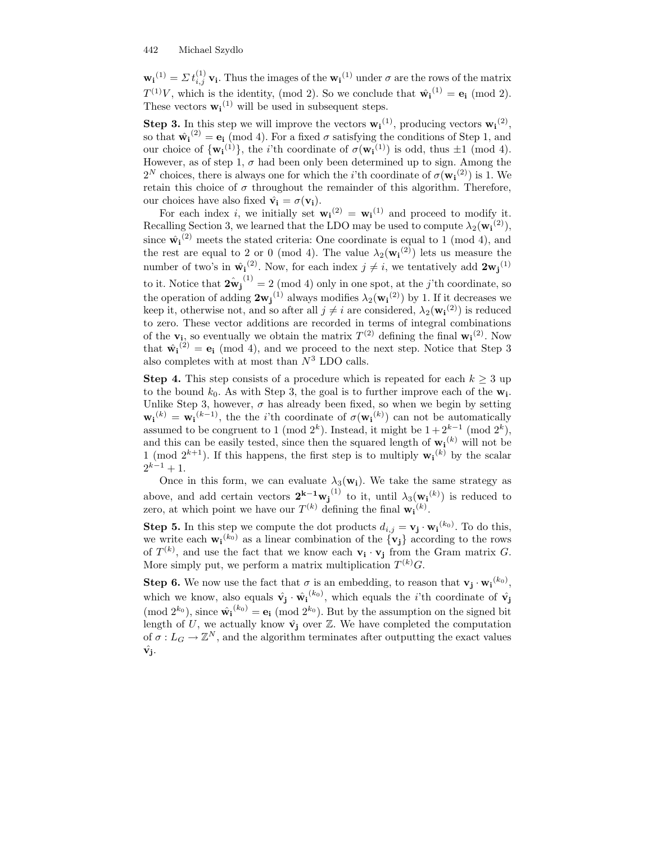$\mathbf{w_i}^{(1)} = \sum t_{i,j}^{(1)} \mathbf{v_i}$ . Thus the images of the  $\mathbf{w_i}^{(1)}$  under  $\sigma$  are the rows of the matrix  $T^{(1)}V$ , which is the identity, (mod 2). So we conclude that  $\hat{\mathbf{w_i}}^{(1)} = \mathbf{e_i} \pmod{2}$ . These vectors  $\mathbf{w_i}^{(1)}$  will be used in subsequent steps.

**Step 3.** In this step we will improve the vectors  $w_i^{(1)}$ , producing vectors  $w_i^{(2)}$ , so that  $\hat{\mathbf{w_i}}^{(2)} = \mathbf{e_i} \pmod{4}$ . For a fixed  $\sigma$  satisfying the conditions of Step 1, and our choice of  $\{w_i^{(1)}\}$ , the *i*'th coordinate of  $\sigma(w_i^{(1)})$  is odd, thus  $\pm 1 \pmod{4}$ . However, as of step 1,  $\sigma$  had been only been determined up to sign. Among the  $2^N$  choices, there is always one for which the *i*'th coordinate of  $\sigma(\mathbf{w_i}^{(2)})$  is 1. We retain this choice of  $\sigma$  throughout the remainder of this algorithm. Therefore, our choices have also fixed  $\hat{\mathbf{v}}_i = \sigma(\mathbf{v}_i)$ .

For each index *i*, we initially set  $\mathbf{w_i}^{(2)} = \mathbf{w_i}^{(1)}$  and proceed to modify it. Recalling Section 3, we learned that the LDO may be used to compute  $\lambda_2(\mathbf{w_i}^{(2)}),$ since  $\hat{\mathbf{w}}_i^{(2)}$  meets the stated criteria: One coordinate is equal to 1 (mod 4), and the rest are equal to 2 or 0 (mod 4). The value  $\lambda_2(\mathbf{w_i}^{(2)})$  lets us measure the number of two's in  $\hat{\mathbf{w}}_i^{(2)}$ . Now, for each index  $j \neq i$ , we tentatively add  $2\mathbf{w}_j^{(1)}$ to it. Notice that  $2\hat{w}_j^{(1)} = 2 \pmod{4}$  only in one spot, at the j'th coordinate, so the operation of adding  $2w_j^{(1)}$  always modifies  $\lambda_2(w_i^{(2)})$  by 1. If it decreases we keep it, otherwise not, and so after all  $j \neq i$  are considered,  $\lambda_2(\mathbf{w_i}^{(2)})$  is reduced to zero. These vector additions are recorded in terms of integral combinations of the  $\mathbf{v}_i$ , so eventually we obtain the matrix  $T^{(2)}$  defining the final  $\mathbf{w}_i^{(2)}$ . Now that  $\hat{\mathbf{w}_i}^{(2)} = \mathbf{e}_i \pmod{4}$ , and we proceed to the next step. Notice that Step 3 also completes with at most than  $N^3$  LDO calls.

**Step 4.** This step consists of a procedure which is repeated for each  $k \geq 3$  up to the bound  $k_0$ . As with Step 3, the goal is to further improve each of the  $w_i$ . Unlike Step 3, however,  $\sigma$  has already been fixed, so when we begin by setting  $\mathbf{w_i}^{(k)} = \mathbf{w_i}^{(k-1)}$ , the the *i*'th coordinate of  $\sigma(\mathbf{w_i}^{(k)})$  can not be automatically assumed to be congruent to 1 (mod  $2^k$ ). Instead, it might be  $1+2^{k-1}$  (mod  $2^k$ ), and this can be easily tested, since then the squared length of  $w_i^{(k)}$  will not be 1 (mod  $2^{k+1}$ ). If this happens, the first step is to multiply  $\mathbf{w_i}^{(k)}$  by the scalar  $2^{k-1}+1$ .

Once in this form, we can evaluate  $\lambda_3(\mathbf{w_i})$ . We take the same strategy as above, and add certain vectors  $2^{k-1}w_j^{(1)}$  to it, until  $\lambda_3(w_i^{(k)})$  is reduced to zero, at which point we have our  $T^{(k)}$  defining the final  $\mathbf{w_i}^{(k)}$ .

**Step 5.** In this step we compute the dot products  $d_{i,j} = \mathbf{v}_j \cdot \mathbf{w}_i^{(k_0)}$ . To do this, we write each  $\mathbf{w_i}^{(k_0)}$  as a linear combination of the  $\{\mathbf{v_j}\}\)$  according to the rows of  $T^{(k)}$ , and use the fact that we know each  $\mathbf{v}_i \cdot \mathbf{v}_j$  from the Gram matrix G. More simply put, we perform a matrix multiplication  $T^{(k)}G$ .

**Step 6.** We now use the fact that  $\sigma$  is an embedding, to reason that  $\mathbf{v}_j \cdot \mathbf{w}_i^{(k_0)}$ , which we know, also equals  $\hat{\mathbf{v}}_j \cdot \hat{\mathbf{w}}_i^{(k_0)}$ , which equals the *i*'th coordinate of  $\hat{\mathbf{v}}_j$ (mod  $2^{k_0}$ ), since  $\hat{\mathbf{w}}_i^{(k_0)} = \mathbf{e}_i \pmod{2^{k_0}}$ . But by the assumption on the signed bit length of U, we actually know  $\hat{\mathbf{v}}_i$  over  $\mathbb{Z}$ . We have completed the computation of  $\sigma: L_G \to \mathbb{Z}^N$ , and the algorithm terminates after outputting the exact values  $\hat{\mathbf{v_j}}$ .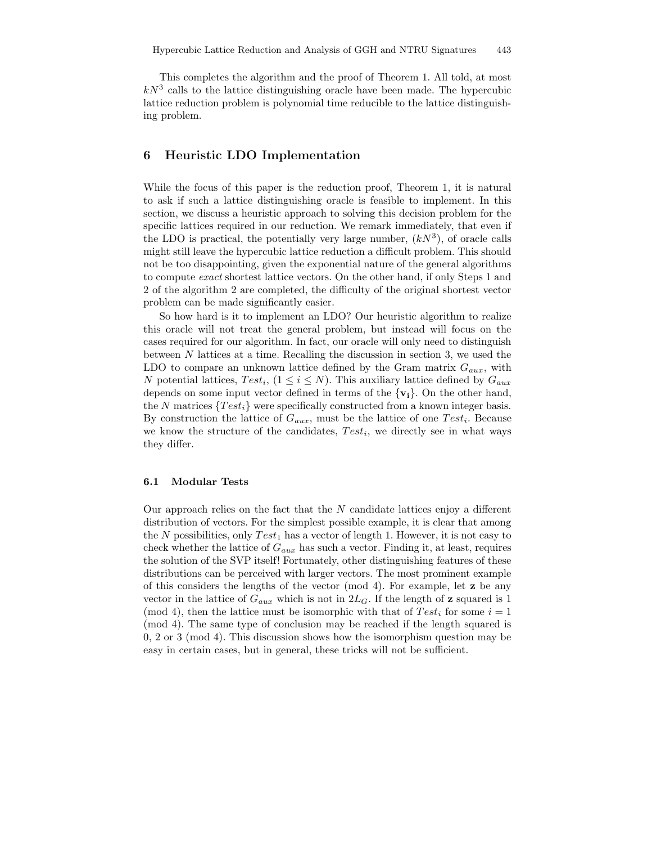This completes the algorithm and the proof of Theorem 1. All told, at most  $kN<sup>3</sup>$  calls to the lattice distinguishing oracle have been made. The hypercubic lattice reduction problem is polynomial time reducible to the lattice distinguishing problem.

# 6 Heuristic LDO Implementation

While the focus of this paper is the reduction proof, Theorem 1, it is natural to ask if such a lattice distinguishing oracle is feasible to implement. In this section, we discuss a heuristic approach to solving this decision problem for the specific lattices required in our reduction. We remark immediately, that even if the LDO is practical, the potentially very large number,  $(kN<sup>3</sup>)$ , of oracle calls might still leave the hypercubic lattice reduction a difficult problem. This should not be too disappointing, given the exponential nature of the general algorithms to compute exact shortest lattice vectors. On the other hand, if only Steps 1 and 2 of the algorithm 2 are completed, the difficulty of the original shortest vector problem can be made significantly easier.

So how hard is it to implement an LDO? Our heuristic algorithm to realize this oracle will not treat the general problem, but instead will focus on the cases required for our algorithm. In fact, our oracle will only need to distinguish between N lattices at a time. Recalling the discussion in section 3, we used the LDO to compare an unknown lattice defined by the Gram matrix  $G_{aux}$ , with N potential lattices,  $Test_i$ ,  $(1 \leq i \leq N)$ . This auxiliary lattice defined by  $G_{aux}$ depends on some input vector defined in terms of the  $\{v_i\}$ . On the other hand, the N matrices  ${Test<sub>i</sub>}$  were specifically constructed from a known integer basis. By construction the lattice of  $G_{aux}$ , must be the lattice of one  $Test_i$ . Because we know the structure of the candidates,  $Test_i$ , we directly see in what ways they differ.

#### 6.1 Modular Tests

Our approach relies on the fact that the  $N$  candidate lattices enjoy a different distribution of vectors. For the simplest possible example, it is clear that among the N possibilities, only  $Test_1$  has a vector of length 1. However, it is not easy to check whether the lattice of  $G_{aux}$  has such a vector. Finding it, at least, requires the solution of the SVP itself! Fortunately, other distinguishing features of these distributions can be perceived with larger vectors. The most prominent example of this considers the lengths of the vector (mod 4). For example, let z be any vector in the lattice of  $G_{aux}$  which is not in  $2L_G$ . If the length of **z** squared is 1 (mod 4), then the lattice must be isomorphic with that of  $Test_i$  for some  $i = 1$ (mod 4). The same type of conclusion may be reached if the length squared is 0, 2 or 3 (mod 4). This discussion shows how the isomorphism question may be easy in certain cases, but in general, these tricks will not be sufficient.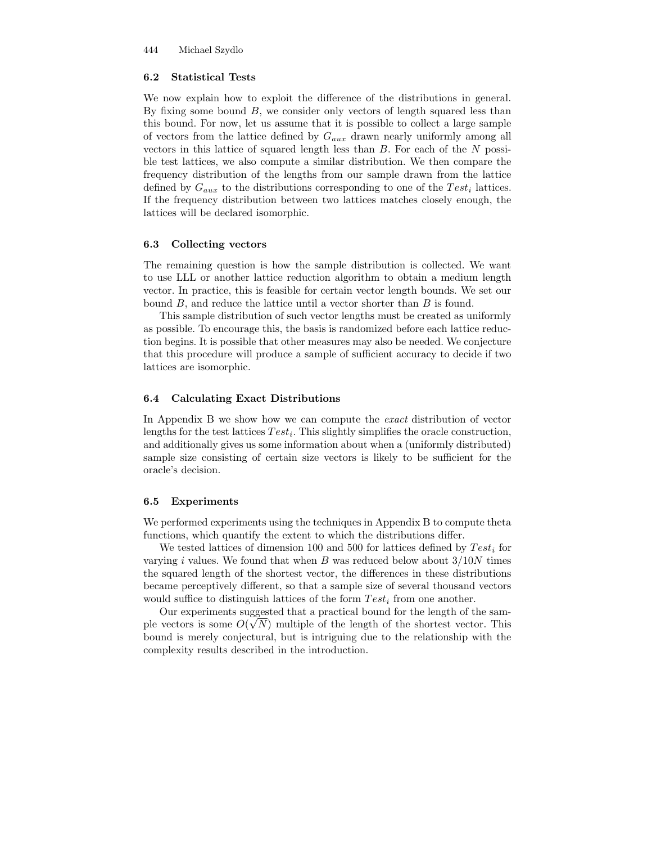### 6.2 Statistical Tests

We now explain how to exploit the difference of the distributions in general. By fixing some bound  $B$ , we consider only vectors of length squared less than this bound. For now, let us assume that it is possible to collect a large sample of vectors from the lattice defined by  $G_{aux}$  drawn nearly uniformly among all vectors in this lattice of squared length less than  $B$ . For each of the  $N$  possible test lattices, we also compute a similar distribution. We then compare the frequency distribution of the lengths from our sample drawn from the lattice defined by  $G_{aux}$  to the distributions corresponding to one of the  $Test_i$  lattices. If the frequency distribution between two lattices matches closely enough, the lattices will be declared isomorphic.

### 6.3 Collecting vectors

The remaining question is how the sample distribution is collected. We want to use LLL or another lattice reduction algorithm to obtain a medium length vector. In practice, this is feasible for certain vector length bounds. We set our bound B, and reduce the lattice until a vector shorter than B is found.

This sample distribution of such vector lengths must be created as uniformly as possible. To encourage this, the basis is randomized before each lattice reduction begins. It is possible that other measures may also be needed. We conjecture that this procedure will produce a sample of sufficient accuracy to decide if two lattices are isomorphic.

#### 6.4 Calculating Exact Distributions

In Appendix B we show how we can compute the exact distribution of vector lengths for the test lattices  $Test_i$ . This slightly simplifies the oracle construction, and additionally gives us some information about when a (uniformly distributed) sample size consisting of certain size vectors is likely to be sufficient for the oracle's decision.

#### 6.5 Experiments

We performed experiments using the techniques in Appendix B to compute theta functions, which quantify the extent to which the distributions differ.

We tested lattices of dimension 100 and 500 for lattices defined by  $Test_i$  for varying i values. We found that when  $B$  was reduced below about  $3/10N$  times the squared length of the shortest vector, the differences in these distributions became perceptively different, so that a sample size of several thousand vectors would suffice to distinguish lattices of the form  $Test_i$  from one another.

Our experiments suggested that a practical bound for the length of the sambut experiments suggested that a practical bound of the length of the same ple vectors is some  $O(\sqrt{N})$  multiple of the length of the shortest vector. This bound is merely conjectural, but is intriguing due to the relationship with the complexity results described in the introduction.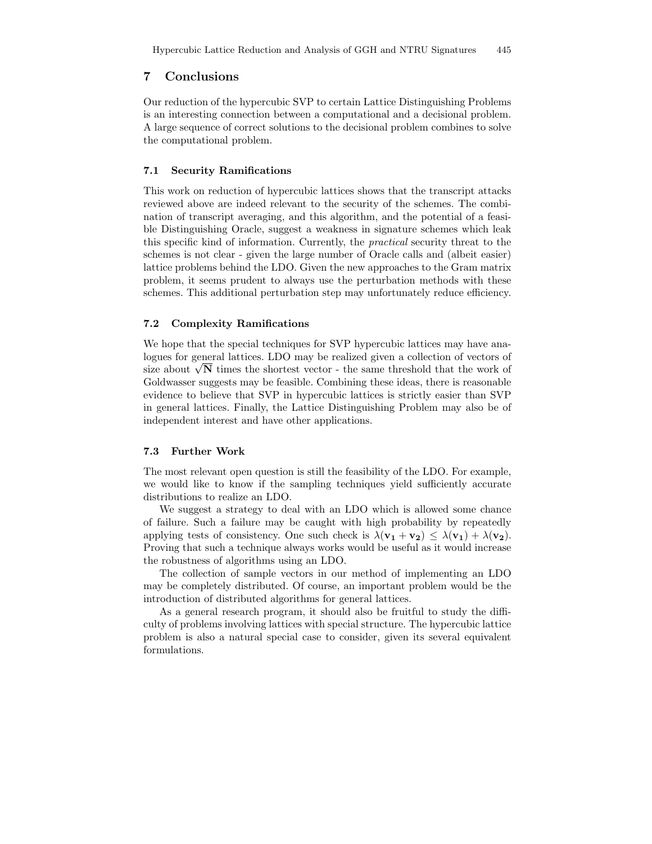## 7 Conclusions

Our reduction of the hypercubic SVP to certain Lattice Distinguishing Problems is an interesting connection between a computational and a decisional problem. A large sequence of correct solutions to the decisional problem combines to solve the computational problem.

### 7.1 Security Ramifications

This work on reduction of hypercubic lattices shows that the transcript attacks reviewed above are indeed relevant to the security of the schemes. The combination of transcript averaging, and this algorithm, and the potential of a feasible Distinguishing Oracle, suggest a weakness in signature schemes which leak this specific kind of information. Currently, the practical security threat to the schemes is not clear - given the large number of Oracle calls and (albeit easier) lattice problems behind the LDO. Given the new approaches to the Gram matrix problem, it seems prudent to always use the perturbation methods with these schemes. This additional perturbation step may unfortunately reduce efficiency.

### 7.2 Complexity Ramifications

We hope that the special techniques for SVP hypercubic lattices may have analogues for general lattices. LDO may be realized given a collection of vectors of size about  $\sqrt{N}$  times the shortest vector - the same threshold that the work of Goldwasser suggests may be feasible. Combining these ideas, there is reasonable evidence to believe that SVP in hypercubic lattices is strictly easier than SVP in general lattices. Finally, the Lattice Distinguishing Problem may also be of independent interest and have other applications.

### 7.3 Further Work

The most relevant open question is still the feasibility of the LDO. For example, we would like to know if the sampling techniques yield sufficiently accurate distributions to realize an LDO.

We suggest a strategy to deal with an LDO which is allowed some chance of failure. Such a failure may be caught with high probability by repeatedly applying tests of consistency. One such check is  $\lambda(\mathbf{v_1} + \mathbf{v_2}) \leq \lambda(\mathbf{v_1}) + \lambda(\mathbf{v_2})$ . Proving that such a technique always works would be useful as it would increase the robustness of algorithms using an LDO.

The collection of sample vectors in our method of implementing an LDO may be completely distributed. Of course, an important problem would be the introduction of distributed algorithms for general lattices.

As a general research program, it should also be fruitful to study the difficulty of problems involving lattices with special structure. The hypercubic lattice problem is also a natural special case to consider, given its several equivalent formulations.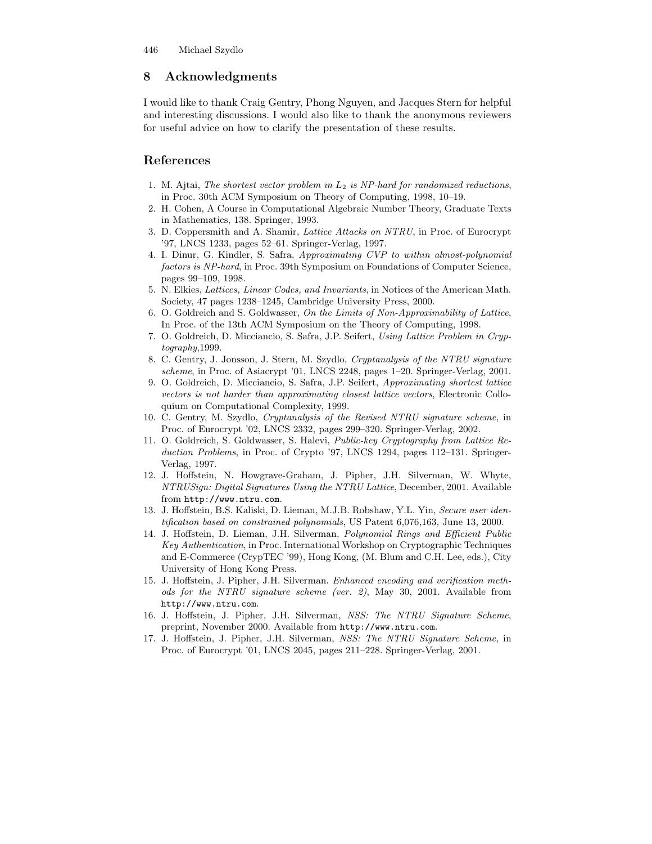# 8 Acknowledgments

I would like to thank Craig Gentry, Phong Nguyen, and Jacques Stern for helpful and interesting discussions. I would also like to thank the anonymous reviewers for useful advice on how to clarify the presentation of these results.

## References

- 1. M. Ajtai, The shortest vector problem in  $L_2$  is NP-hard for randomized reductions, in Proc. 30th ACM Symposium on Theory of Computing, 1998, 10–19.
- 2. H. Cohen, A Course in Computational Algebraic Number Theory, Graduate Texts in Mathematics, 138. Springer, 1993.
- 3. D. Coppersmith and A. Shamir, Lattice Attacks on NTRU, in Proc. of Eurocrypt '97, LNCS 1233, pages 52–61. Springer-Verlag, 1997.
- 4. I. Dinur, G. Kindler, S. Safra, Approximating CVP to within almost-polynomial factors is NP-hard, in Proc. 39th Symposium on Foundations of Computer Science, pages 99–109, 1998.
- 5. N. Elkies, Lattices, Linear Codes, and Invariants, in Notices of the American Math. Society, 47 pages 1238–1245, Cambridge University Press, 2000.
- 6. O. Goldreich and S. Goldwasser, On the Limits of Non-Approximability of Lattice, In Proc. of the 13th ACM Symposium on the Theory of Computing, 1998.
- 7. O. Goldreich, D. Micciancio, S. Safra, J.P. Seifert, Using Lattice Problem in Cryptography,1999.
- 8. C. Gentry, J. Jonsson, J. Stern, M. Szydlo, Cryptanalysis of the NTRU signature scheme, in Proc. of Asiacrypt '01, LNCS 2248, pages 1–20. Springer-Verlag, 2001.
- 9. O. Goldreich, D. Micciancio, S. Safra, J.P. Seifert, Approximating shortest lattice vectors is not harder than approximating closest lattice vectors, Electronic Colloquium on Computational Complexity, 1999.
- 10. C. Gentry, M. Szydlo, Cryptanalysis of the Revised NTRU signature scheme, in Proc. of Eurocrypt '02, LNCS 2332, pages 299–320. Springer-Verlag, 2002.
- 11. O. Goldreich, S. Goldwasser, S. Halevi, Public-key Cryptography from Lattice Reduction Problems, in Proc. of Crypto '97, LNCS 1294, pages 112–131. Springer-Verlag, 1997.
- 12. J. Hoffstein, N. Howgrave-Graham, J. Pipher, J.H. Silverman, W. Whyte, NTRUSign: Digital Signatures Using the NTRU Lattice, December, 2001. Available from http://www.ntru.com.
- 13. J. Hoffstein, B.S. Kaliski, D. Lieman, M.J.B. Robshaw, Y.L. Yin, Secure user identification based on constrained polynomials, US Patent 6,076,163, June 13, 2000.
- 14. J. Hoffstein, D. Lieman, J.H. Silverman, Polynomial Rings and Efficient Public Key Authentication, in Proc. International Workshop on Cryptographic Techniques and E-Commerce (CrypTEC '99), Hong Kong, (M. Blum and C.H. Lee, eds.), City University of Hong Kong Press.
- 15. J. Hoffstein, J. Pipher, J.H. Silverman. Enhanced encoding and verification methods for the NTRU signature scheme (ver. 2), May 30, 2001. Available from http://www.ntru.com.
- 16. J. Hoffstein, J. Pipher, J.H. Silverman, NSS: The NTRU Signature Scheme, preprint, November 2000. Available from http://www.ntru.com.
- 17. J. Hoffstein, J. Pipher, J.H. Silverman, NSS: The NTRU Signature Scheme, in Proc. of Eurocrypt '01, LNCS 2045, pages 211–228. Springer-Verlag, 2001.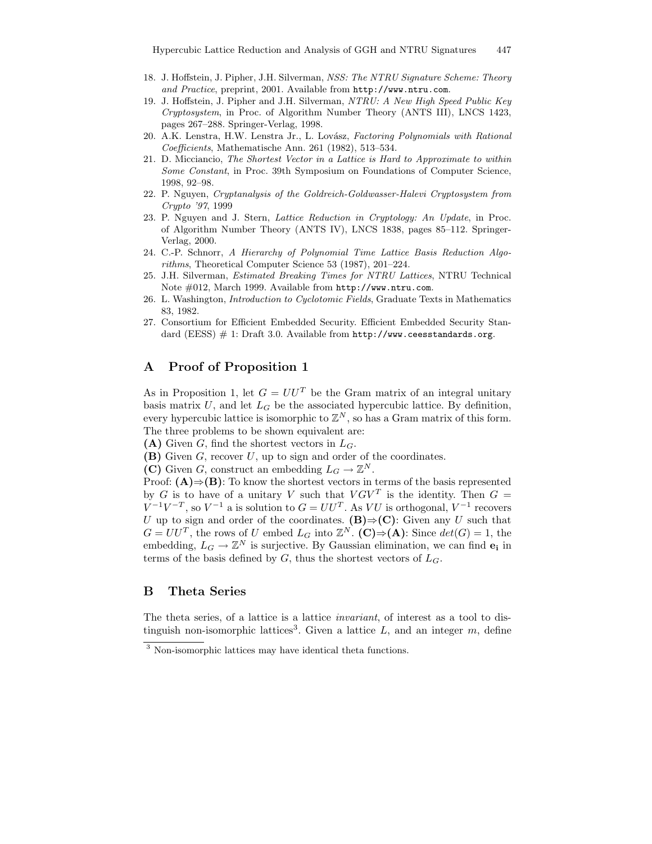- 18. J. Hoffstein, J. Pipher, J.H. Silverman, NSS: The NTRU Signature Scheme: Theory and Practice, preprint, 2001. Available from http://www.ntru.com.
- 19. J. Hoffstein, J. Pipher and J.H. Silverman, NTRU: A New High Speed Public Key Cryptosystem, in Proc. of Algorithm Number Theory (ANTS III), LNCS 1423, pages 267–288. Springer-Verlag, 1998.
- 20. A.K. Lenstra, H.W. Lenstra Jr., L. Lovász, Factoring Polynomials with Rational Coefficients, Mathematische Ann. 261 (1982), 513–534.
- 21. D. Micciancio, The Shortest Vector in a Lattice is Hard to Approximate to within Some Constant, in Proc. 39th Symposium on Foundations of Computer Science, 1998, 92–98.
- 22. P. Nguyen, Cryptanalysis of the Goldreich-Goldwasser-Halevi Cryptosystem from Crypto '97, 1999
- 23. P. Nguyen and J. Stern, Lattice Reduction in Cryptology: An Update, in Proc. of Algorithm Number Theory (ANTS IV), LNCS 1838, pages 85–112. Springer-Verlag, 2000.
- 24. C.-P. Schnorr, A Hierarchy of Polynomial Time Lattice Basis Reduction Algorithms, Theoretical Computer Science 53 (1987), 201–224.
- 25. J.H. Silverman, Estimated Breaking Times for NTRU Lattices, NTRU Technical Note #012, March 1999. Available from http://www.ntru.com.
- 26. L. Washington, Introduction to Cyclotomic Fields, Graduate Texts in Mathematics 83, 1982.
- 27. Consortium for Efficient Embedded Security. Efficient Embedded Security Standard (EESS) # 1: Draft 3.0. Available from http://www.ceesstandards.org.

# A Proof of Proposition 1

As in Proposition 1, let  $G = U U^T$  be the Gram matrix of an integral unitary basis matrix  $U$ , and let  $L_G$  be the associated hypercubic lattice. By definition, every hypercubic lattice is isomorphic to  $\mathbb{Z}^N$ , so has a Gram matrix of this form. The three problems to be shown equivalent are:

(A) Given G, find the shortest vectors in  $L_G$ .

 $(B)$  Given  $G$ , recover  $U$ , up to sign and order of the coordinates.

(C) Given G, construct an embedding  $L_G \to \mathbb{Z}^N$ .

Proof:  $(A) \Rightarrow (B)$ : To know the shortest vectors in terms of the basis represented by G is to have of a unitary V such that  $VGV^T$  is the identity. Then  $G =$  $V^{-1}V^{-T}$ , so  $V^{-1}$  a is solution to  $G = U U^{T}$ . As  $V U$  is orthogonal,  $V^{-1}$  recovers U up to sign and order of the coordinates. (B) $\Rightarrow$ (C): Given any U such that  $G = U U^T$ , the rows of U embed  $L_G$  into  $\mathbb{Z}^N$ . (C) $\Rightarrow$  (A): Since  $det(G) = 1$ , the embedding,  $L_G \to \mathbb{Z}^N$  is surjective. By Gaussian elimination, we can find  $e_i$  in terms of the basis defined by  $G$ , thus the shortest vectors of  $L_G$ .

# B Theta Series

The theta series, of a lattice is a lattice invariant, of interest as a tool to distinguish non-isomorphic lattices<sup>3</sup>. Given a lattice  $L$ , and an integer  $m$ , define

<sup>&</sup>lt;sup>3</sup> Non-isomorphic lattices may have identical theta functions.